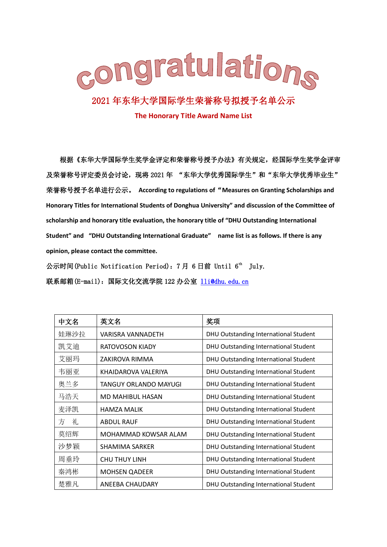

## 2021 年东华大学国际学生荣誉称号拟授予名单公示

**The Honorary Title Award Name List**

根据《东华大学国际学生奖学金评定和荣誉称号授予办法》有关规定,经国际学生奖学金评审 及荣誉称号评定委员会讨论,现将 2021 年 "东华大学优秀国际学生"和"东华大学优秀毕业生" 荣誉称号授予名单进行公示。 **According to regulations of**"**Measures on Granting Scholarships and Honorary Titles for International Students of Donghua University" and discussion of the Committee of scholarship and honorary title evaluation, the honorary title of "DHU Outstanding International Student" and "DHU Outstanding International Graduate" name list is as follows. If there is any opinion, please contact the committee.**

公示时间(Public Notification Period): 7月 6日前 Until 6<sup>th</sup> July. 联系邮箱(E-mail): 国际文化交流学院 122 办公室 11i@dhu.edu.cn

| 中文名    | 英文名                   | 奖项                                    |
|--------|-----------------------|---------------------------------------|
| 娃琳沙拉   | VARISRA VANNADETH     | DHU Outstanding International Student |
| 凯艾迪    | RATOVOSON KIADY       | DHU Outstanding International Student |
| 艾丽玛    | ZAKIROVA RIMMA        | DHU Outstanding International Student |
| 韦丽亚    | KHAIDAROVA VALERIYA   | DHU Outstanding International Student |
| 奥兰多    | TANGUY ORLANDO MAYUGI | DHU Outstanding International Student |
| 马浩天    | MD MAHIBUL HASAN      | DHU Outstanding International Student |
| 麦泽凯    | <b>HAMZA MALIK</b>    | DHU Outstanding International Student |
| 礼<br>方 | <b>ABDUL RAUF</b>     | DHU Outstanding International Student |
| 莫绍辉    | MOHAMMAD KOWSAR ALAM  | DHU Outstanding International Student |
| 沙梦颖    | SHAMIMA SARKER        | DHU Outstanding International Student |
| 周垂玲    | <b>CHU THUY LINH</b>  | DHU Outstanding International Student |
| 秦鸿彬    | <b>MOHSEN QADEER</b>  | DHU Outstanding International Student |
| 楚雅凡    | ANEEBA CHAUDARY       | DHU Outstanding International Student |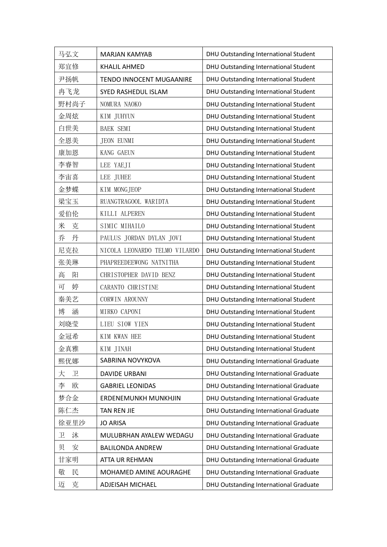| 马弘文               | <b>MARJAN KAMYAB</b>          | DHU Outstanding International Student  |
|-------------------|-------------------------------|----------------------------------------|
| 郑宜修               | <b>KHALIL AHMED</b>           | DHU Outstanding International Student  |
| 尹扬帆               | TENDO INNOCENT MUGAANIRE      | DHU Outstanding International Student  |
| 冉飞龙               | SYED RASHEDUL ISLAM           | DHU Outstanding International Student  |
| 野村尚子              | NOMURA NAOKO                  | DHU Outstanding International Student  |
| 金周炫               | KIM JUHYUN                    | DHU Outstanding International Student  |
| 白世美               | BAEK SEMI                     | DHU Outstanding International Student  |
| 全恩美               | <b>JEON EUNMI</b>             | DHU Outstanding International Student  |
| 康加恩               | KANG GAEUN                    | DHU Outstanding International Student  |
| 李睿智               | LEE YAEJI                     | DHU Outstanding International Student  |
| 李宙喜               | LEE JUHEE                     | DHU Outstanding International Student  |
| 金梦蝶               | KIM MONGJEOP                  | DHU Outstanding International Student  |
| 梁宝玉               | RUANGTRAGOOL WARIDTA          | DHU Outstanding International Student  |
| 爱伯伦               | KILLI ALPEREN                 | DHU Outstanding International Student  |
| 米<br>克            | SIMIC MIHAILO                 | DHU Outstanding International Student  |
| 丹<br>乔            | PAULUS JORDAN DYLAN JOVI      | DHU Outstanding International Student  |
| 尼克拉               | NICOLA LEONARDO TELMO VILARDO | DHU Outstanding International Student  |
| 张美琳               | PHAPREEDEEWONG NATNITHA       | DHU Outstanding International Student  |
| 高<br>阳            | CHRISTOPHER DAVID BENZ        | DHU Outstanding International Student  |
| 婷<br>可            | CARANTO CHRISTINE             | DHU Outstanding International Student  |
| 秦美艺               | CORWIN AROUNNY                | DHU Outstanding International Student  |
| 博<br>涵            | MIRKO CAPONI                  | DHU Outstanding International Student  |
| 刘晓莹               | LIEU SIOW YIEN                | DHU Outstanding International Student  |
| 金冠希               | KIM KWAN HEE                  | DHU Outstanding International Student  |
| 金真雅               | KIM JINAH                     | DHU Outstanding International Student  |
| 熙优娜               | SABRINA NOVYKOVA              | DHU Outstanding International Graduate |
| $\mathbb{E}$<br>大 | <b>DAVIDE URBANI</b>          | DHU Outstanding International Graduate |
| 李<br>欧            | <b>GABRIEL LEONIDAS</b>       | DHU Outstanding International Graduate |
| 梦合金               | <b>ERDENEMUNKH MUNKHJIN</b>   | DHU Outstanding International Graduate |
| 陈仁杰               | <b>TAN REN JIE</b>            | DHU Outstanding International Graduate |
| 徐亚里沙              | <b>JO ARISA</b>               | DHU Outstanding International Graduate |
| 卫<br>沐            | MULUBRHAN AYALEW WEDAGU       | DHU Outstanding International Graduate |
| 安<br>贝            | <b>BALILONDA ANDREW</b>       | DHU Outstanding International Graduate |
| 甘家明               | ATTA UR REHMAN                | DHU Outstanding International Graduate |
| 敬<br>民            | MOHAMED AMINE AOURAGHE        | DHU Outstanding International Graduate |
| 克<br>迈            | ADJEISAH MICHAEL              | DHU Outstanding International Graduate |